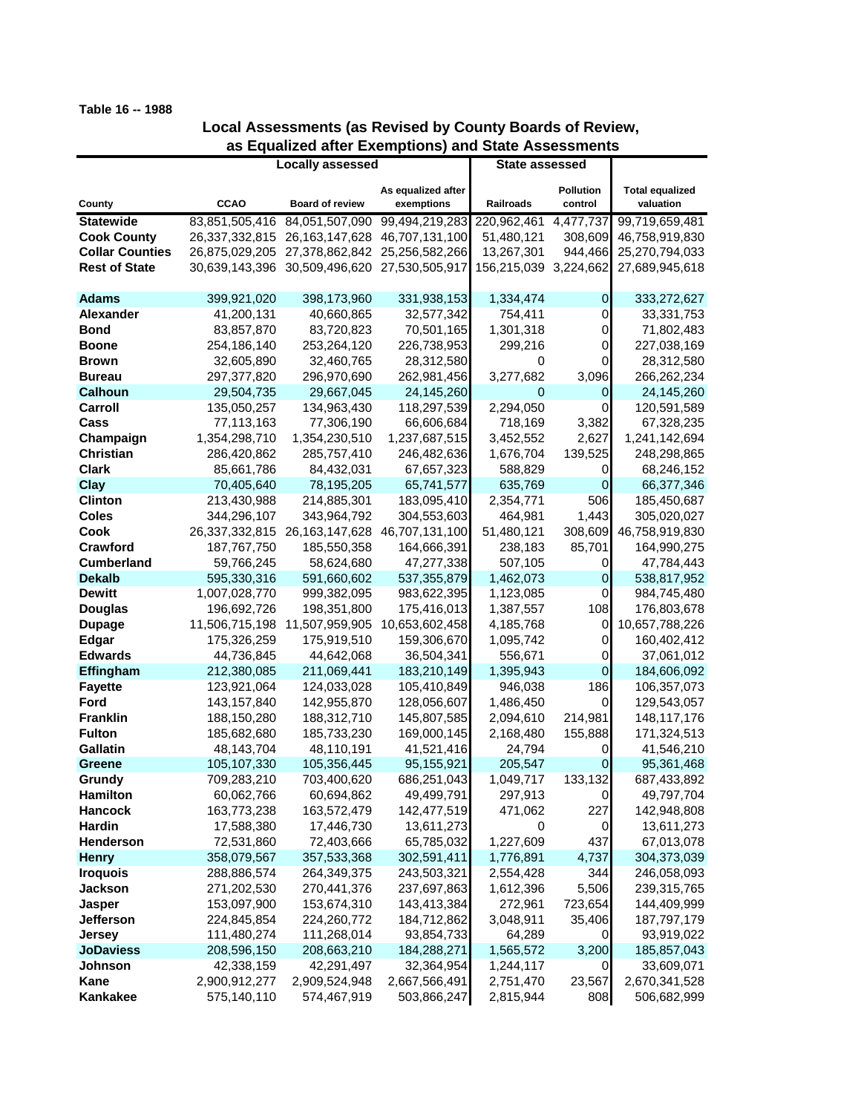## **Table 16 -- 1988**

## **Local Assessments (as Revised by County Boards of Review, as Equalized after Exemptions) and State Assessments**

|                        | <b>Locally assessed</b> |                               |                    | <b>State assessed</b> |                  |                        |
|------------------------|-------------------------|-------------------------------|--------------------|-----------------------|------------------|------------------------|
|                        |                         |                               |                    |                       |                  |                        |
|                        |                         |                               | As equalized after |                       | <b>Pollution</b> | <b>Total equalized</b> |
| County                 | <b>CCAO</b>             | <b>Board of review</b>        | exemptions         | Railroads             | control          | valuation              |
| <b>Statewide</b>       | 83,851,505,416          | 84,051,507,090                | 99,494,219,283     | 220,962,461           | 4,477,737        | 99,719,659,481         |
| <b>Cook County</b>     | 26,337,332,815          | 26, 163, 147, 628             | 46,707,131,100     | 51,480,121            | 308,609          | 46,758,919,830         |
| <b>Collar Counties</b> |                         | 26,875,029,205 27,378,862,842 | 25,256,582,266     | 13,267,301            | 944,466          | 25,270,794,033         |
| <b>Rest of State</b>   |                         | 30,639,143,396 30,509,496,620 | 27,530,505,917     | 156,215,039           | 3,224,662        | 27,689,945,618         |
| <b>Adams</b>           | 399,921,020             | 398,173,960                   | 331,938,153        | 1,334,474             | 0                | 333,272,627            |
| Alexander              | 41,200,131              | 40,660,865                    | 32,577,342         | 754,411               | 0                | 33,331,753             |
| <b>Bond</b>            | 83,857,870              | 83,720,823                    | 70,501,165         | 1,301,318             | 0                | 71,802,483             |
| <b>Boone</b>           | 254,186,140             | 253,264,120                   | 226,738,953        | 299,216               | 0                | 227,038,169            |
| <b>Brown</b>           | 32,605,890              | 32,460,765                    | 28,312,580         | 0                     | 0                | 28,312,580             |
| <b>Bureau</b>          | 297,377,820             | 296,970,690                   | 262,981,456        | 3,277,682             | 3,096            | 266,262,234            |
| Calhoun                | 29,504,735              | 29,667,045                    | 24,145,260         | 0                     | 0                | 24,145,260             |
| Carroll                | 135,050,257             | 134,963,430                   | 118,297,539        | 2,294,050             | 0                | 120,591,589            |
| Cass                   | 77,113,163              | 77,306,190                    | 66,606,684         | 718,169               | 3,382            | 67,328,235             |
| Champaign              | 1,354,298,710           | 1,354,230,510                 | 1,237,687,515      | 3,452,552             | 2,627            | 1,241,142,694          |
| <b>Christian</b>       | 286,420,862             | 285,757,410                   | 246,482,636        | 1,676,704             | 139,525          | 248,298,865            |
| <b>Clark</b>           | 85,661,786              | 84,432,031                    | 67,657,323         | 588,829               | 0                | 68,246,152             |
| Clay                   | 70,405,640              | 78,195,205                    | 65,741,577         | 635,769               | 0                | 66,377,346             |
| <b>Clinton</b>         | 213,430,988             | 214,885,301                   | 183,095,410        | 2,354,771             | 506              | 185,450,687            |
| <b>Coles</b>           | 344,296,107             | 343,964,792                   | 304,553,603        | 464,981               | 1,443            | 305,020,027            |
| Cook                   | 26,337,332,815          | 26, 163, 147, 628             | 46,707,131,100     | 51,480,121            | 308,609          | 46,758,919,830         |
| Crawford               | 187,767,750             | 185,550,358                   | 164,666,391        | 238,183               | 85,701           | 164,990,275            |
| <b>Cumberland</b>      | 59,766,245              | 58,624,680                    | 47,277,338         | 507,105               | 0                | 47,784,443             |
| <b>Dekalb</b>          | 595,330,316             | 591,660,602                   | 537,355,879        | 1,462,073             | 0                | 538,817,952            |
| <b>Dewitt</b>          | 1,007,028,770           | 999,382,095                   | 983,622,395        | 1,123,085             | 0                | 984,745,480            |
| <b>Douglas</b>         | 196,692,726             | 198,351,800                   | 175,416,013        | 1,387,557             | 108              | 176,803,678            |
| <b>Dupage</b>          | 11,506,715,198          | 11,507,959,905                | 10,653,602,458     | 4,185,768             | 0                | 10,657,788,226         |
| Edgar                  | 175,326,259             | 175,919,510                   | 159,306,670        | 1,095,742             | 0                | 160,402,412            |
| <b>Edwards</b>         | 44,736,845              | 44,642,068                    | 36,504,341         | 556,671               | 0                | 37,061,012             |
| Effingham              | 212,380,085             | 211,069,441                   | 183,210,149        | 1,395,943             | 0                | 184,606,092            |
| <b>Fayette</b>         | 123,921,064             | 124,033,028                   | 105,410,849        | 946,038               | 186              | 106,357,073            |
| Ford                   | 143, 157, 840           | 142,955,870                   | 128,056,607        | 1,486,450             | 0                | 129,543,057            |
| <b>Franklin</b>        | 188,150,280             | 188,312,710                   | 145,807,585        | 2,094,610             | 214,981          | 148,117,176            |
| <b>Fulton</b>          | 185,682,680             | 185,733,230                   | 169,000,145        | 2,168,480             | 155,888          | 171,324,513            |
| Gallatin               | 48,143,704              | 48,110,191                    | 41,521,416         | 24,794                | 0                | 41,546,210             |
| <b>Greene</b>          | 105,107,330             | 105,356,445                   | 95,155,921         | 205,547               | 0                | 95,361,468             |
| Grundy                 | 709,283,210             | 703,400,620                   | 686,251,043        | 1,049,717             | 133,132          | 687,433,892            |
| <b>Hamilton</b>        | 60,062,766              | 60,694,862                    | 49,499,791         | 297,913               | $\overline{0}$   | 49,797,704             |
| <b>Hancock</b>         | 163,773,238             | 163,572,479                   | 142,477,519        | 471,062               | 227              | 142,948,808            |
| Hardin                 | 17,588,380              | 17,446,730                    | 13,611,273         | 0                     | 0                | 13,611,273             |
| <b>Henderson</b>       | 72,531,860              | 72,403,666                    | 65,785,032         | 1,227,609             | 437              | 67,013,078             |
| <b>Henry</b>           | 358,079,567             | 357,533,368                   | 302,591,411        | 1,776,891             | 4,737            | 304,373,039            |
| <b>Iroquois</b>        | 288,886,574             | 264,349,375                   | 243,503,321        | 2,554,428             | 344              | 246,058,093            |
| <b>Jackson</b>         | 271,202,530             | 270,441,376                   | 237,697,863        | 1,612,396             | 5,506            | 239,315,765            |
| <b>Jasper</b>          | 153,097,900             | 153,674,310                   | 143,413,384        | 272,961               | 723,654          | 144,409,999            |
| <b>Jefferson</b>       | 224,845,854             | 224,260,772                   | 184,712,862        | 3,048,911             | 35,406           | 187,797,179            |
| <b>Jersey</b>          | 111,480,274             | 111,268,014                   | 93,854,733         | 64,289                | 0                | 93,919,022             |
| <b>JoDaviess</b>       | 208,596,150             | 208,663,210                   | 184,288,271        | 1,565,572             | 3,200            | 185,857,043            |
| Johnson                | 42,338,159              | 42,291,497                    | 32,364,954         | 1,244,117             | 0                | 33,609,071             |
| Kane                   | 2,900,912,277           | 2,909,524,948                 | 2,667,566,491      | 2,751,470             | 23,567           | 2,670,341,528          |
| Kankakee               | 575,140,110             | 574,467,919                   | 503,866,247        | 2,815,944             | 808              | 506,682,999            |